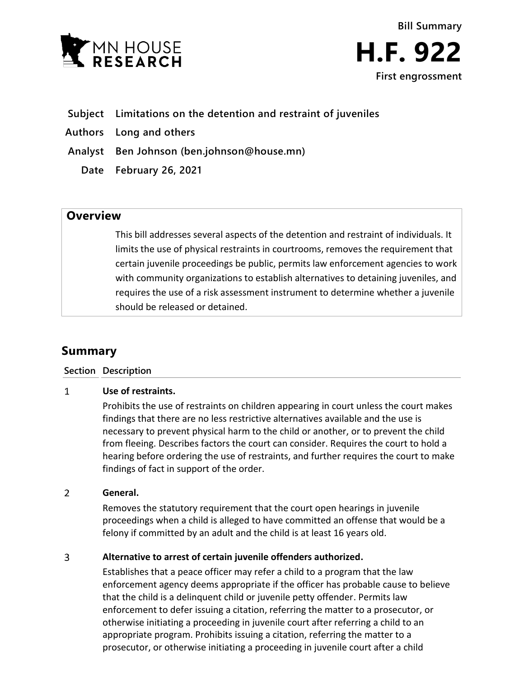



## **Subject Limitations on the detention and restraint of juveniles**

- **Authors Long and others**
- **Analyst Ben Johnson (ben.johnson@house.mn)**
	- **Date February 26, 2021**

## **Overview**

This bill addresses several aspects of the detention and restraint of individuals. It limits the use of physical restraints in courtrooms, removes the requirement that certain juvenile proceedings be public, permits law enforcement agencies to work with community organizations to establish alternatives to detaining juveniles, and requires the use of a risk assessment instrument to determine whether a juvenile should be released or detained.

# **Summary**

### **Section Description**

#### $\mathbf{1}$ **Use of restraints.**

Prohibits the use of restraints on children appearing in court unless the court makes findings that there are no less restrictive alternatives available and the use is necessary to prevent physical harm to the child or another, or to prevent the child from fleeing. Describes factors the court can consider. Requires the court to hold a hearing before ordering the use of restraints, and further requires the court to make findings of fact in support of the order.

#### $\overline{2}$ **General.**

Removes the statutory requirement that the court open hearings in juvenile proceedings when a child is alleged to have committed an offense that would be a felony if committed by an adult and the child is at least 16 years old.

#### $\overline{3}$ **Alternative to arrest of certain juvenile offenders authorized.**

Establishes that a peace officer may refer a child to a program that the law enforcement agency deems appropriate if the officer has probable cause to believe that the child is a delinquent child or juvenile petty offender. Permits law enforcement to defer issuing a citation, referring the matter to a prosecutor, or otherwise initiating a proceeding in juvenile court after referring a child to an appropriate program. Prohibits issuing a citation, referring the matter to a prosecutor, or otherwise initiating a proceeding in juvenile court after a child